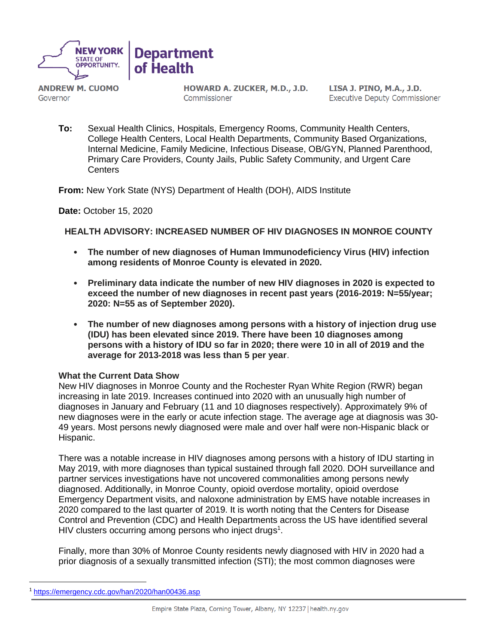

**ANDREW M. CUOMO** Governor

HOWARD A. ZUCKER, M.D., J.D. Commissioner

LISA J. PINO, M.A., J.D. **Executive Deputy Commissioner** 

**To:** Sexual Health Clinics, Hospitals, Emergency Rooms, Community Health Centers, College Health Centers, Local Health Departments, Community Based Organizations, Internal Medicine, Family Medicine, Infectious Disease, OB/GYN, Planned Parenthood, Primary Care Providers, County Jails, Public Safety Community, and Urgent Care **Centers** 

**From:** New York State (NYS) Department of Health (DOH), AIDS Institute

**Date:** October 15, 2020

**HEALTH ADVISORY: INCREASED NUMBER OF HIV DIAGNOSES IN MONROE COUNTY**

- **The number of new diagnoses of Human Immunodeficiency Virus (HIV) infection among residents of Monroe County is elevated in 2020.**
- **Preliminary data indicate the number of new HIV diagnoses in 2020 is expected to exceed the number of new diagnoses in recent past years (2016-2019: N=55/year; 2020: N=55 as of September 2020).**
- **The number of new diagnoses among persons with a history of injection drug use (IDU) has been elevated since 2019. There have been 10 diagnoses among persons with a history of IDU so far in 2020; there were 10 in all of 2019 and the average for 2013-2018 was less than 5 per year**.

#### **What the Current Data Show**

New HIV diagnoses in Monroe County and the Rochester Ryan White Region (RWR) began increasing in late 2019. Increases continued into 2020 with an unusually high number of diagnoses in January and February (11 and 10 diagnoses respectively). Approximately 9% of new diagnoses were in the early or acute infection stage. The average age at diagnosis was 30- 49 years. Most persons newly diagnosed were male and over half were non-Hispanic black or Hispanic.

There was a notable increase in HIV diagnoses among persons with a history of IDU starting in May 2019, with more diagnoses than typical sustained through fall 2020. DOH surveillance and partner services investigations have not uncovered commonalities among persons newly diagnosed. Additionally, in Monroe County, opioid overdose mortality, opioid overdose Emergency Department visits, and naloxone administration by EMS have notable increases in 2020 compared to the last quarter of 2019. It is worth noting that the Centers for Disease Control and Prevention (CDC) and Health Departments across the US have identified several HIV clusters occurring among persons who inject drugs<sup>1</sup>.

Finally, more than 30% of Monroe County residents newly diagnosed with HIV in 2020 had a prior diagnosis of a sexually transmitted infection (STI); the most common diagnoses were

 $\overline{a}$ 

<sup>1</sup> <https://emergency.cdc.gov/han/2020/han00436.asp>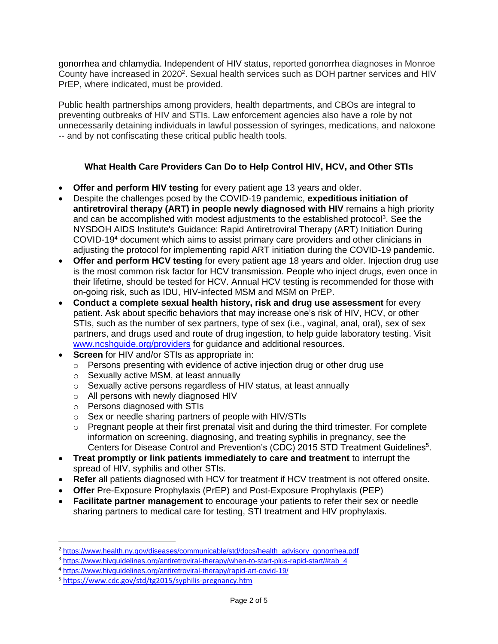gonorrhea and chlamydia. Independent of HIV status, reported gonorrhea diagnoses in Monroe County have increased in 2020<sup>2</sup>. Sexual health services such as DOH partner services and HIV PrEP, where indicated, must be provided.

Public health partnerships among providers, health departments, and CBOs are integral to preventing outbreaks of HIV and STIs. Law enforcement agencies also have a role by not unnecessarily detaining individuals in lawful possession of syringes, medications, and naloxone -- and by not confiscating these critical public health tools.

# **What Health Care Providers Can Do to Help Control HIV, HCV, and Other STIs**

- **Offer and perform HIV testing** for every patient age 13 years and older.
- Despite the challenges posed by the COVID-19 pandemic, **expeditious initiation of antiretroviral therapy (ART) in people newly diagnosed with HIV** remains a high priority and can be accomplished with modest adjustments to the established protocol<sup>3</sup>. See the NYSDOH AIDS Institute's Guidance: Rapid Antiretroviral Therapy (ART) Initiation During COVID-19<sup>4</sup> document which aims to assist primary care providers and other clinicians in adjusting the protocol for implementing rapid ART initiation during the COVID-19 pandemic.
- **Offer and perform HCV testing** for every patient age 18 years and older. Injection drug use is the most common risk factor for HCV transmission. People who inject drugs, even once in their lifetime, should be tested for HCV. Annual HCV testing is recommended for those with on-going risk, such as IDU, HIV-infected MSM and MSM on PrEP.
- **Conduct a complete sexual health history, risk and drug use assessment** for every patient. Ask about specific behaviors that may increase one's risk of HIV, HCV, or other STIs, such as the number of sex partners, type of sex (i.e., vaginal, anal, oral), sex of sex partners, and drugs used and route of drug ingestion, to help guide laboratory testing. Visit [www.ncshguide.org/providers](http://www.ncshguide.org/providers) for guidance and additional resources.
- **Screen** for HIV and/or STIs as appropriate in:
	- $\circ$  Persons presenting with evidence of active injection drug or other drug use
	- o Sexually active MSM, at least annually
	- o Sexually active persons regardless of HIV status, at least annually
	- o All persons with newly diagnosed HIV
	- o Persons diagnosed with STIs
	- o Sex or needle sharing partners of people with HIV/STIs
	- $\circ$  Pregnant people at their first prenatal visit and during the third trimester. For complete information on screening, diagnosing, and treating syphilis in pregnancy, see the Centers for Disease Control and Prevention's (CDC) 2015 STD Treatment Guidelines<sup>5</sup>.
- **Treat promptly or link patients immediately to care and treatment** to interrupt the spread of HIV, syphilis and other STIs.
- **Refer** all patients diagnosed with HCV for treatment if HCV treatment is not offered onsite.
- **Offer** Pre-Exposure Prophylaxis (PrEP) and Post-Exposure Prophylaxis (PEP)
- **Facilitate partner management** to encourage your patients to refer their sex or needle sharing partners to medical care for testing, STI treatment and HIV prophylaxis.

 $\overline{a}$ 

<sup>2</sup> [https://www.health.ny.gov/diseases/communicable/std/docs/health\\_advisory\\_gonorrhea.pdf](https://www.health.ny.gov/diseases/communicable/std/docs/health_advisory_gonorrhea.pdf)

<sup>3</sup> [https://www.hivguidelines.org/antiretroviral-therapy/when-to-start-plus-rapid-start/#tab\\_4](https://www.hivguidelines.org/antiretroviral-therapy/when-to-start-plus-rapid-start/#tab_4)

<sup>4</sup> <https://www.hivguidelines.org/antiretroviral-therapy/rapid-art-covid-19/>

<sup>5</sup> <https://www.cdc.gov/std/tg2015/syphilis-pregnancy.htm>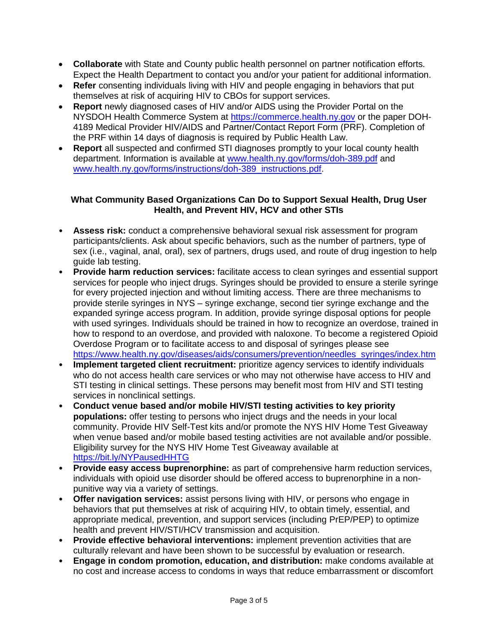- **Collaborate** with State and County public health personnel on partner notification efforts. Expect the Health Department to contact you and/or your patient for additional information.
- **Refer** consenting individuals living with HIV and people engaging in behaviors that put themselves at risk of acquiring HIV to CBOs for support services.
- **Report** newly diagnosed cases of HIV and/or AIDS using the Provider Portal on the NYSDOH Health Commerce System at [https://commerce.health.ny.gov](https://commerce.health.ny.gov/) or the paper DOH-4189 Medical Provider HIV/AIDS and Partner/Contact Report Form (PRF). Completion of the PRF within 14 days of diagnosis is required by Public Health Law.
- **Report** all suspected and confirmed STI diagnoses promptly to your local county health department. Information is available at [www.health.ny.gov/forms/doh-389.pdf](http://www.health.ny.gov/forms/doh-389.pdf) and [www.health.ny.gov/forms/instructions/doh-389\\_instructions.pdf.](http://www.health.ny.gov/forms/instructions/doh-389_instructions.pdf)

## **What Community Based Organizations Can Do to Support Sexual Health, Drug User Health, and Prevent HIV, HCV and other STIs**

- **Assess risk:** conduct a comprehensive behavioral sexual risk assessment for program participants/clients. Ask about specific behaviors, such as the number of partners, type of sex (i.e., vaginal, anal, oral), sex of partners, drugs used, and route of drug ingestion to help guide lab testing.
- **Provide harm reduction services:** facilitate access to clean syringes and essential support services for people who inject drugs. Syringes should be provided to ensure a sterile syringe for every projected injection and without limiting access. There are three mechanisms to provide sterile syringes in NYS – syringe exchange, second tier syringe exchange and the expanded syringe access program. In addition, provide syringe disposal options for people with used syringes. Individuals should be trained in how to recognize an overdose, trained in how to respond to an overdose, and provided with naloxone. To become a registered Opioid Overdose Program or to facilitate access to and disposal of syringes please see [https://www.health.ny.gov/diseases/aids/consumers/prevention/needles\\_syringes/index.htm](https://www.health.ny.gov/diseases/aids/consumers/prevention/needles_syringes/index.htm)
- **Implement targeted client recruitment:** prioritize agency services to identify individuals who do not access health care services or who may not otherwise have access to HIV and STI testing in clinical settings. These persons may benefit most from HIV and STI testing services in nonclinical settings.
- **Conduct venue based and/or mobile HIV/STI testing activities to key priority populations:** offer testing to persons who inject drugs and the needs in your local community. Provide HIV Self-Test kits and/or promote the NYS HIV Home Test Giveaway when venue based and/or mobile based testing activities are not available and/or possible. Eligibility survey for the NYS HIV Home Test Giveaway available at <https://bit.ly/NYPausedHHTG>
- **Provide easy access buprenorphine:** as part of comprehensive harm reduction services, individuals with opioid use disorder should be offered access to buprenorphine in a nonpunitive way via a variety of settings.
- **Offer navigation services:** assist persons living with HIV, or persons who engage in behaviors that put themselves at risk of acquiring HIV, to obtain timely, essential, and appropriate medical, prevention, and support services (including PrEP/PEP) to optimize health and prevent HIV/STI/HCV transmission and acquisition.
- **Provide effective behavioral interventions:** implement prevention activities that are culturally relevant and have been shown to be successful by evaluation or research.
- **Engage in condom promotion, education, and distribution:** make condoms available at no cost and increase access to condoms in ways that reduce embarrassment or discomfort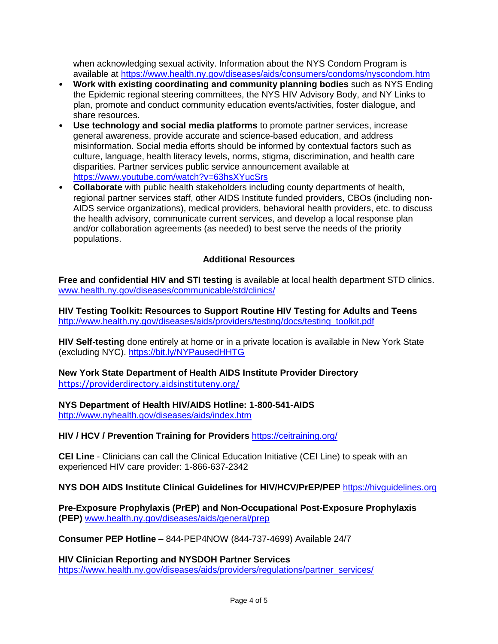when acknowledging sexual activity. Information about the NYS Condom Program is available at<https://www.health.ny.gov/diseases/aids/consumers/condoms/nyscondom.htm>

- **Work with existing coordinating and community planning bodies** such as NYS Ending the Epidemic regional steering committees, the NYS HIV Advisory Body, and NY Links to plan, promote and conduct community education events/activities, foster dialogue, and share resources.
- **Use technology and social media platforms** to promote partner services, increase general awareness, provide accurate and science-based education, and address misinformation. Social media efforts should be informed by contextual factors such as culture, language, health literacy levels, norms, stigma, discrimination, and health care disparities. Partner services public service announcement available at <https://www.youtube.com/watch?v=63hsXYucSrs>
- **Collaborate** with public health stakeholders including county departments of health, regional partner services staff, other AIDS Institute funded providers, CBOs (including non-AIDS service organizations), medical providers, behavioral health providers, etc. to discuss the health advisory, communicate current services, and develop a local response plan and/or collaboration agreements (as needed) to best serve the needs of the priority populations.

## **Additional Resources**

**Free and confidential HIV and STI testing** is available at local health department STD clinics. [www.health.ny.gov/diseases/communicable/std/clinics/](http://www.health.ny.gov/diseases/communicable/std/clinics/)

**HIV Testing Toolkit: Resources to Support Routine HIV Testing for Adults and Teens**  [http://www.health.ny.gov/diseases/aids/providers/testing/docs/testing\\_toolkit.pdf](http://www.health.ny.gov/diseases/aids/providers/testing/docs/testing_toolkit.pdf)

**HIV Self-testing** done entirely at home or in a private location is available in New York State (excluding NYC). <https://bit.ly/NYPausedHHTG>

**New York State Department of Health AIDS Institute Provider Directory**  <https://providerdirectory.aidsinstituteny.org/>

**NYS Department of Health HIV/AIDS Hotline: 1-800-541-AIDS** 

<http://www.nyhealth.gov/diseases/aids/index.htm>

**HIV / HCV / Prevention Training for Providers** <https://ceitraining.org/>

**CEI Line** - Clinicians can call the Clinical Education Initiative (CEI Line) to speak with an experienced HIV care provider: 1-866-637-2342

**NYS DOH AIDS Institute Clinical Guidelines for HIV/HCV/PrEP/PEP** [https://hivguidelines.org](https://hivguidelines.org/)

**Pre-Exposure Prophylaxis (PrEP) and Non-Occupational Post-Exposure Prophylaxis (PEP)** [www.health.ny.gov/diseases/aids/general/prep](http://www.health.ny.gov/diseases/aids/general/prep)

**Consumer PEP Hotline** – 844-PEP4NOW (844-737-4699) Available 24/7

**HIV Clinician Reporting and NYSDOH Partner Services** [https://www.health.ny.gov/diseases/aids/providers/regulations/partner\\_services/](https://www.health.ny.gov/diseases/aids/providers/regulations/partner_services/)